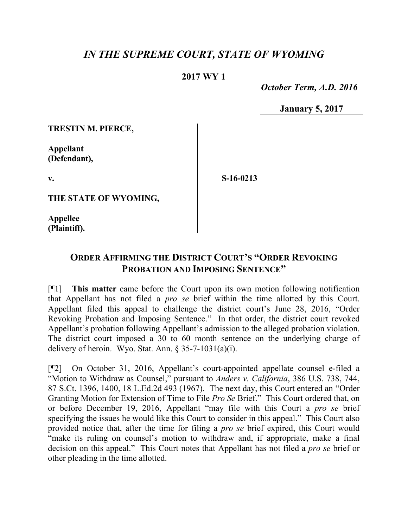## *IN THE SUPREME COURT, STATE OF WYOMING*

## **2017 WY 1**

 *October Term, A.D. 2016*

**January 5, 2017**

**TRESTIN M. PIERCE,**

**Appellant (Defendant),**

**v.**

**S-16-0213**

**THE STATE OF WYOMING,**

**Appellee (Plaintiff).**

## **ORDER AFFIRMING THE DISTRICT COURT'S "ORDER REVOKING PROBATION AND IMPOSING SENTENCE"**

[¶1] **This matter** came before the Court upon its own motion following notification that Appellant has not filed a *pro se* brief within the time allotted by this Court. Appellant filed this appeal to challenge the district court's June 28, 2016, "Order Revoking Probation and Imposing Sentence." In that order, the district court revoked Appellant's probation following Appellant's admission to the alleged probation violation. The district court imposed a 30 to 60 month sentence on the underlying charge of delivery of heroin. Wyo. Stat. Ann.  $\S 35-7-1031(a)(i)$ .

[¶2] On October 31, 2016, Appellant's court-appointed appellate counsel e-filed a "Motion to Withdraw as Counsel," pursuant to *Anders v. California*, 386 U.S. 738, 744, 87 S.Ct. 1396, 1400, 18 L.Ed.2d 493 (1967). The next day, this Court entered an "Order Granting Motion for Extension of Time to File *Pro Se* Brief." This Court ordered that, on or before December 19, 2016, Appellant "may file with this Court a *pro se* brief specifying the issues he would like this Court to consider in this appeal." This Court also provided notice that, after the time for filing a *pro se* brief expired, this Court would "make its ruling on counsel's motion to withdraw and, if appropriate, make a final decision on this appeal." This Court notes that Appellant has not filed a *pro se* brief or other pleading in the time allotted.